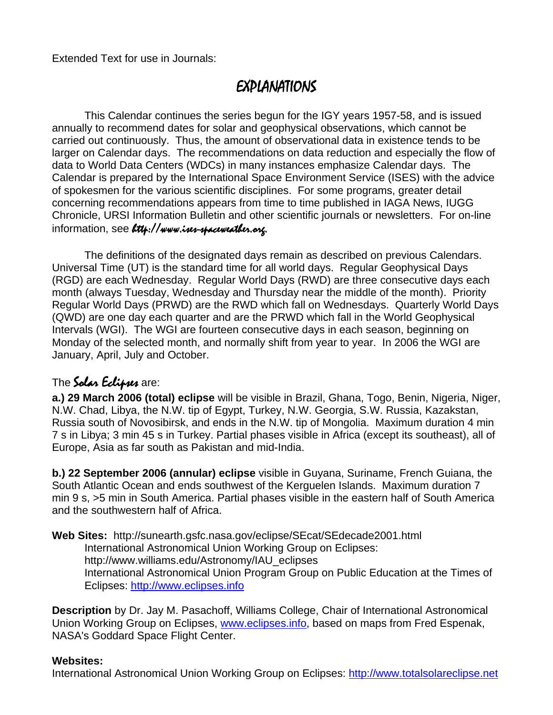Extended Text for use in Journals:

# EXPLANATIONS

This Calendar continues the series begun for the IGY years 1957-58, and is issued annually to recommend dates for solar and geophysical observations, which cannot be carried out continuously. Thus, the amount of observational data in existence tends to be larger on Calendar days. The recommendations on data reduction and especially the flow of data to World Data Centers (WDCs) in many instances emphasize Calendar days. The Calendar is prepared by the International Space Environment Service (ISES) with the advice of spokesmen for the various scientific disciplines. For some programs, greater detail concerning recommendations appears from time to time published in IAGA News, IUGG Chronicle, URSI Information Bulletin and other scientific journals or newsletters. For on-line information, see Ltth://www.ises-spaceweather.org.

The definitions of the designated days remain as described on previous Calendars. Universal Time (UT) is the standard time for all world days. Regular Geophysical Days (RGD) are each Wednesday. Regular World Days (RWD) are three consecutive days each month (always Tuesday, Wednesday and Thursday near the middle of the month). Priority Regular World Days (PRWD) are the RWD which fall on Wednesdays. Quarterly World Days (QWD) are one day each quarter and are the PRWD which fall in the World Geophysical Intervals (WGI). The WGI are fourteen consecutive days in each season, beginning on Monday of the selected month, and normally shift from year to year. In 2006 the WGI are January, April, July and October.

# The Solar Eclipses are:

**a.) 29 March 2006 (total) eclipse** will be visible in Brazil, Ghana, Togo, Benin, Nigeria, Niger, N.W. Chad, Libya, the N.W. tip of Egypt, Turkey, N.W. Georgia, S.W. Russia, Kazakstan, Russia south of Novosibirsk, and ends in the N.W. tip of Mongolia. Maximum duration 4 min 7 s in Libya; 3 min 45 s in Turkey. Partial phases visible in Africa (except its southeast), all of Europe, Asia as far south as Pakistan and mid-India.

**b.) 22 September 2006 (annular) eclipse** visible in Guyana, Suriname, French Guiana, the South Atlantic Ocean and ends southwest of the Kerguelen Islands. Maximum duration 7 min 9 s, >5 min in South America. Partial phases visible in the eastern half of South America and the southwestern half of Africa.

**Web Sites:** http://sunearth.gsfc.nasa.gov/eclipse/SEcat/SEdecade2001.html International Astronomical Union Working Group on Eclipses: http://www.williams.edu/Astronomy/IAU\_eclipses International Astronomical Union Program Group on Public Education at the Times of Eclipses: http://www.eclipses.info

**Description** by Dr. Jay M. Pasachoff, Williams College, Chair of International Astronomical Union Working Group on Eclipses, www.eclipses.info, based on maps from Fred Espenak, NASA's Goddard Space Flight Center.

#### **Websites:**

International Astronomical Union Working Group on Eclipses: http://www.totalsolareclipse.net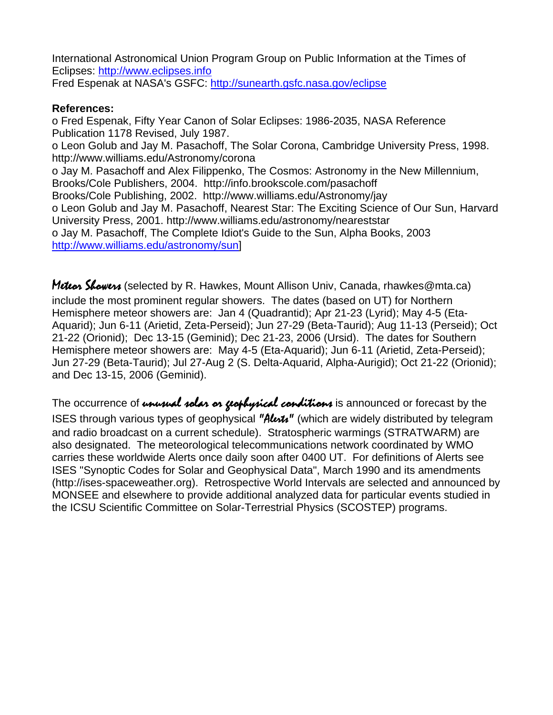International Astronomical Union Program Group on Public Information at the Times of Eclipses: http://www.eclipses.info Fred Espenak at NASA's GSFC: http://sunearth.gsfc.nasa.gov/eclipse

#### **References:**

o Fred Espenak, Fifty Year Canon of Solar Eclipses: 1986-2035, NASA Reference Publication 1178 Revised, July 1987. o Leon Golub and Jay M. Pasachoff, The Solar Corona, Cambridge University Press, 1998. http://www.williams.edu/Astronomy/corona o Jay M. Pasachoff and Alex Filippenko, The Cosmos: Astronomy in the New Millennium, Brooks/Cole Publishers, 2004. http://info.brookscole.com/pasachoff Brooks/Cole Publishing, 2002. http://www.williams.edu/Astronomy/jay o Leon Golub and Jay M. Pasachoff, Nearest Star: The Exciting Science of Our Sun, Harvard University Press, 2001. http://www.williams.edu/astronomy/neareststar o Jay M. Pasachoff, The Complete Idiot's Guide to the Sun, Alpha Books, 2003 http://www.williams.edu/astronomy/sun]

Meteon Showers (selected by R. Hawkes, Mount Allison Univ, Canada, rhawkes@mta.ca) include the most prominent regular showers. The dates (based on UT) for Northern Hemisphere meteor showers are: Jan 4 (Quadrantid); Apr 21-23 (Lyrid); May 4-5 (Eta-Aquarid); Jun 6-11 (Arietid, Zeta-Perseid); Jun 27-29 (Beta-Taurid); Aug 11-13 (Perseid); Oct 21-22 (Orionid); Dec 13-15 (Geminid); Dec 21-23, 2006 (Ursid). The dates for Southern Hemisphere meteor showers are: May 4-5 (Eta-Aquarid); Jun 6-11 (Arietid, Zeta-Perseid); Jun 27-29 (Beta-Taurid); Jul 27-Aug 2 (S. Delta-Aquarid, Alpha-Aurigid); Oct 21-22 (Orionid); and Dec 13-15, 2006 (Geminid).

The occurrence of unusual solar or geophysical conditions is announced or forecast by the ISES through various types of geophysical "Alext" (which are widely distributed by telegram and radio broadcast on a current schedule). Stratospheric warmings (STRATWARM) are also designated. The meteorological telecommunications network coordinated by WMO carries these worldwide Alerts once daily soon after 0400 UT. For definitions of Alerts see ISES "Synoptic Codes for Solar and Geophysical Data", March 1990 and its amendments (http://ises-spaceweather.org). Retrospective World Intervals are selected and announced by MONSEE and elsewhere to provide additional analyzed data for particular events studied in the ICSU Scientific Committee on Solar-Terrestrial Physics (SCOSTEP) programs.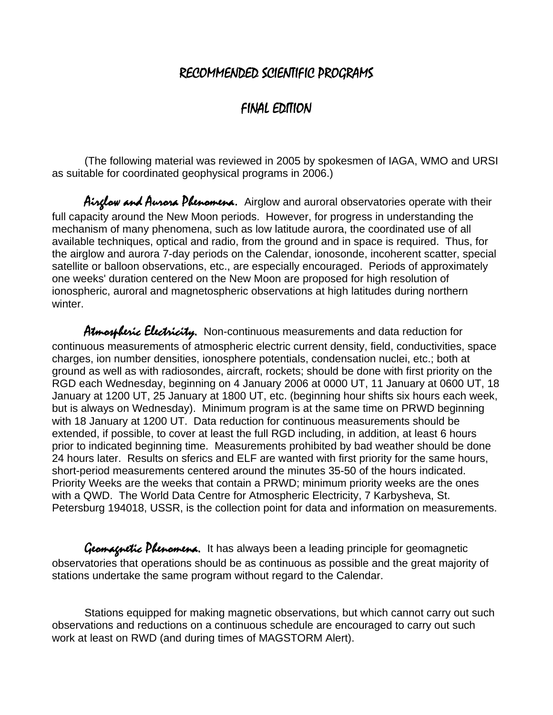## RECOMMENDED SCIENTIFIC PROGRAMS

## FINAL EDITION

(The following material was reviewed in 2005 by spokesmen of IAGA, WMO and URSI as suitable for coordinated geophysical programs in 2006.)

Airglow and Aurora Phenomena. Airglow and auroral observatories operate with their full capacity around the New Moon periods. However, for progress in understanding the mechanism of many phenomena, such as low latitude aurora, the coordinated use of all available techniques, optical and radio, from the ground and in space is required. Thus, for the airglow and aurora 7-day periods on the Calendar, ionosonde, incoherent scatter, special satellite or balloon observations, etc., are especially encouraged. Periods of approximately one weeks' duration centered on the New Moon are proposed for high resolution of ionospheric, auroral and magnetospheric observations at high latitudes during northern winter.

Atmospheric Electricity. Non-continuous measurements and data reduction for continuous measurements of atmospheric electric current density, field, conductivities, space charges, ion number densities, ionosphere potentials, condensation nuclei, etc.; both at ground as well as with radiosondes, aircraft, rockets; should be done with first priority on the RGD each Wednesday, beginning on 4 January 2006 at 0000 UT, 11 January at 0600 UT, 18 January at 1200 UT, 25 January at 1800 UT, etc. (beginning hour shifts six hours each week, but is always on Wednesday). Minimum program is at the same time on PRWD beginning with 18 January at 1200 UT. Data reduction for continuous measurements should be extended, if possible, to cover at least the full RGD including, in addition, at least 6 hours prior to indicated beginning time. Measurements prohibited by bad weather should be done 24 hours later. Results on sferics and ELF are wanted with first priority for the same hours, short-period measurements centered around the minutes 35-50 of the hours indicated. Priority Weeks are the weeks that contain a PRWD; minimum priority weeks are the ones with a QWD. The World Data Centre for Atmospheric Electricity, 7 Karbysheva, St. Petersburg 194018, USSR, is the collection point for data and information on measurements.

Gromagnetic Phenomena. It has always been a leading principle for geomagnetic observatories that operations should be as continuous as possible and the great majority of stations undertake the same program without regard to the Calendar.

Stations equipped for making magnetic observations, but which cannot carry out such observations and reductions on a continuous schedule are encouraged to carry out such work at least on RWD (and during times of MAGSTORM Alert).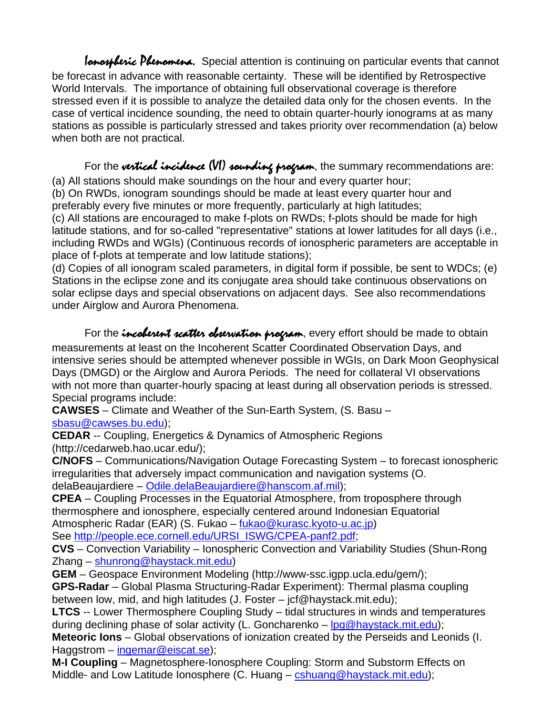Ionostheric Phenomena. Special attention is continuing on particular events that cannot be forecast in advance with reasonable certainty. These will be identified by Retrospective World Intervals. The importance of obtaining full observational coverage is therefore stressed even if it is possible to analyze the detailed data only for the chosen events. In the case of vertical incidence sounding, the need to obtain quarter-hourly ionograms at as many stations as possible is particularly stressed and takes priority over recommendation (a) below when both are not practical.

For the vertical incidence (VI) sounding program, the summary recommendations are: (a) All stations should make soundings on the hour and every quarter hour;

(b) On RWDs, ionogram soundings should be made at least every quarter hour and preferably every five minutes or more frequently, particularly at high latitudes;

(c) All stations are encouraged to make f-plots on RWDs; f-plots should be made for high latitude stations, and for so-called "representative" stations at lower latitudes for all days (i.e., including RWDs and WGIs) (Continuous records of ionospheric parameters are acceptable in place of f-plots at temperate and low latitude stations);

(d) Copies of all ionogram scaled parameters, in digital form if possible, be sent to WDCs; (e) Stations in the eclipse zone and its conjugate area should take continuous observations on solar eclipse days and special observations on adjacent days. See also recommendations under Airglow and Aurora Phenomena.

For the *incoletent scatter observation program*, every effort should be made to obtain measurements at least on the Incoherent Scatter Coordinated Observation Days, and intensive series should be attempted whenever possible in WGIs, on Dark Moon Geophysical Days (DMGD) or the Airglow and Aurora Periods. The need for collateral VI observations with not more than quarter-hourly spacing at least during all observation periods is stressed. Special programs include:

**CAWSES** – Climate and Weather of the Sun-Earth System, (S. Basu – sbasu@cawses.bu.edu);

**CEDAR** -- Coupling, Energetics & Dynamics of Atmospheric Regions (http://cedarweb.hao.ucar.edu/);

**C/NOFS** – Communications/Navigation Outage Forecasting System – to forecast ionospheric irregularities that adversely impact communication and navigation systems (O. delaBeaujardiere – Odile.delaBeaujardiere@hanscom.af.mil);

**CPEA** – Coupling Processes in the Equatorial Atmosphere, from troposphere through thermosphere and ionosphere, especially centered around Indonesian Equatorial Atmospheric Radar (EAR) (S. Fukao – fukao@kurasc.kyoto-u.ac.jp)

See http://people.ece.cornell.edu/URSI\_ISWG/CPEA-panf2.pdf;

**CVS** – Convection Variability – Ionospheric Convection and Variability Studies (Shun-Rong Zhang – shunrong@haystack.mit.edu)

**GEM** – Geospace Environment Modeling (http://www-ssc.igpp.ucla.edu/gem/);

**GPS-Radar** – Global Plasma Structuring-Radar Experiment): Thermal plasma coupling between low, mid, and high latitudes (J. Foster – jcf@haystack.mit.edu);

**LTCS** -- Lower Thermosphere Coupling Study – tidal structures in winds and temperatures during declining phase of solar activity (L. Goncharenko – lpg@haystack.mit.edu);

**Meteoric Ions** – Global observations of ionization created by the Perseids and Leonids (I. Haggstrom – ingemar@eiscat.se);

**M-I Coupling** – Magnetosphere-Ionosphere Coupling: Storm and Substorm Effects on Middle- and Low Latitude Ionosphere (C. Huang – cshuang@haystack.mit.edu);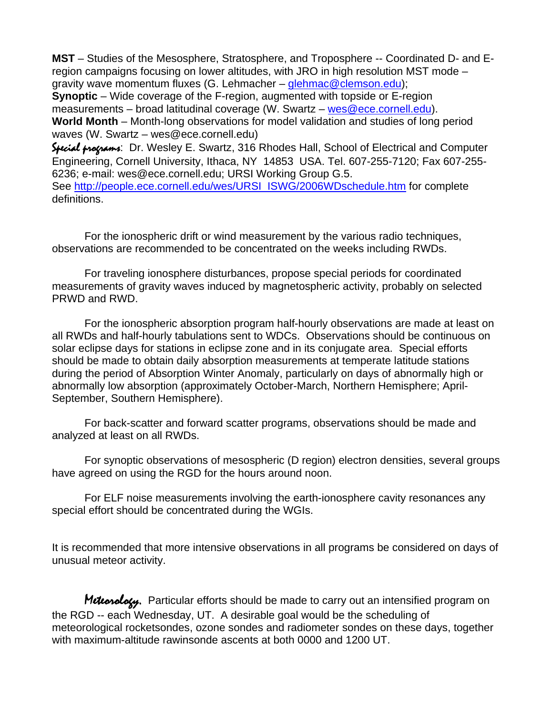**MST** – Studies of the Mesosphere, Stratosphere, and Troposphere -- Coordinated D- and Eregion campaigns focusing on lower altitudes, with JRO in high resolution MST mode – gravity wave momentum fluxes (G. Lehmacher – glehmac@clemson.edu);

**Synoptic** – Wide coverage of the F-region, augmented with topside or E-region measurements – broad latitudinal coverage (W. Swartz – wes@ece.cornell.edu).

**World Month** – Month-long observations for model validation and studies of long period waves (W. Swartz – wes@ece.cornell.edu)

Special programs: Dr. Wesley E. Swartz, 316 Rhodes Hall, School of Electrical and Computer Engineering, Cornell University, Ithaca, NY 14853 USA. Tel. 607-255-7120; Fax 607-255- 6236; e-mail: wes@ece.cornell.edu; URSI Working Group G.5. See http://people.ece.cornell.edu/wes/URSI\_ISWG/2006WDschedule.htm for complete definitions.

For the ionospheric drift or wind measurement by the various radio techniques, observations are recommended to be concentrated on the weeks including RWDs.

For traveling ionosphere disturbances, propose special periods for coordinated measurements of gravity waves induced by magnetospheric activity, probably on selected PRWD and RWD.

For the ionospheric absorption program half-hourly observations are made at least on all RWDs and half-hourly tabulations sent to WDCs. Observations should be continuous on solar eclipse days for stations in eclipse zone and in its conjugate area. Special efforts should be made to obtain daily absorption measurements at temperate latitude stations during the period of Absorption Winter Anomaly, particularly on days of abnormally high or abnormally low absorption (approximately October-March, Northern Hemisphere; April-September, Southern Hemisphere).

For back-scatter and forward scatter programs, observations should be made and analyzed at least on all RWDs.

For synoptic observations of mesospheric (D region) electron densities, several groups have agreed on using the RGD for the hours around noon.

For ELF noise measurements involving the earth-ionosphere cavity resonances any special effort should be concentrated during the WGIs.

It is recommended that more intensive observations in all programs be considered on days of unusual meteor activity.

Meteorology. Particular efforts should be made to carry out an intensified program on the RGD -- each Wednesday, UT. A desirable goal would be the scheduling of meteorological rocketsondes, ozone sondes and radiometer sondes on these days, together with maximum-altitude rawinsonde ascents at both 0000 and 1200 UT.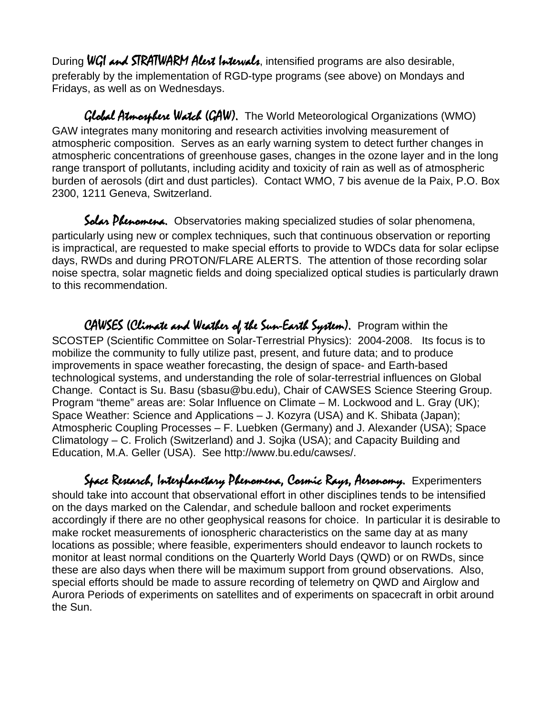During WGI and STRATWARM Alext Intervals, intensified programs are also desirable, preferably by the implementation of RGD-type programs (see above) on Mondays and Fridays, as well as on Wednesdays.

Global Atmosphere Watch (GAW). The World Meteorological Organizations (WMO) GAW integrates many monitoring and research activities involving measurement of atmospheric composition. Serves as an early warning system to detect further changes in atmospheric concentrations of greenhouse gases, changes in the ozone layer and in the long range transport of pollutants, including acidity and toxicity of rain as well as of atmospheric burden of aerosols (dirt and dust particles). Contact WMO, 7 bis avenue de la Paix, P.O. Box 2300, 1211 Geneva, Switzerland.

Solar Phenomena. Observatories making specialized studies of solar phenomena, particularly using new or complex techniques, such that continuous observation or reporting is impractical, are requested to make special efforts to provide to WDCs data for solar eclipse days, RWDs and during PROTON/FLARE ALERTS. The attention of those recording solar noise spectra, solar magnetic fields and doing specialized optical studies is particularly drawn to this recommendation.

CAWSES (Climate and Weather of the Sun-Earth System). Program within the SCOSTEP (Scientific Committee on Solar-Terrestrial Physics): 2004-2008. Its focus is to mobilize the community to fully utilize past, present, and future data; and to produce improvements in space weather forecasting, the design of space- and Earth-based technological systems, and understanding the role of solar-terrestrial influences on Global Change. Contact is Su. Basu (sbasu@bu.edu), Chair of CAWSES Science Steering Group. Program "theme" areas are: Solar Influence on Climate – M. Lockwood and L. Gray (UK); Space Weather: Science and Applications – J. Kozyra (USA) and K. Shibata (Japan); Atmospheric Coupling Processes – F. Luebken (Germany) and J. Alexander (USA); Space Climatology – C. Frolich (Switzerland) and J. Sojka (USA); and Capacity Building and Education, M.A. Geller (USA). See http://www.bu.edu/cawses/.

Space Research, Interplanetary Phenomena, Cosmic Rays, Aeronomy. Experimenters should take into account that observational effort in other disciplines tends to be intensified on the days marked on the Calendar, and schedule balloon and rocket experiments accordingly if there are no other geophysical reasons for choice. In particular it is desirable to make rocket measurements of ionospheric characteristics on the same day at as many locations as possible; where feasible, experimenters should endeavor to launch rockets to monitor at least normal conditions on the Quarterly World Days (QWD) or on RWDs, since these are also days when there will be maximum support from ground observations. Also, special efforts should be made to assure recording of telemetry on QWD and Airglow and Aurora Periods of experiments on satellites and of experiments on spacecraft in orbit around the Sun.